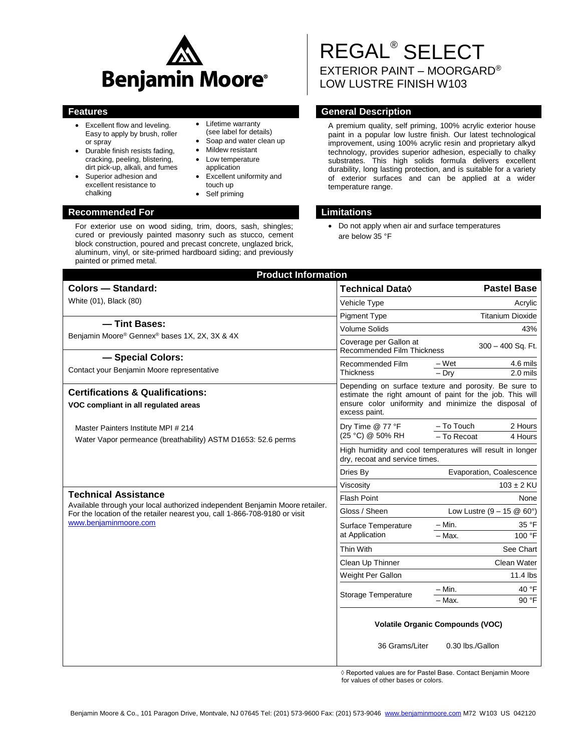

- Excellent flow and leveling. Easy to apply by brush, roller or spray
- Durable finish resists fading, cracking, peeling, blistering, dirt pick-up, alkali, and fumes
- Superior adhesion and excellent resistance to chalking

• Lifetime warranty (see label for details)

- Soap and water clean up
- Mildew resistant
- Low temperature application
- Excellent uniformity and touch up
- Self priming

# **Recommended For Limitations**

For exterior use on wood siding, trim, doors, sash, shingles; cured or previously painted masonry such as stucco, cement block construction, poured and precast concrete, unglazed brick, aluminum, vinyl, or site-primed hardboard siding; and previously painted or primed metal.

## REGAL® SELECT EXTERIOR PAINT – MOORGARD® LOW LUSTRE FINISH W103

## **Features General Description**

A premium quality, self priming, 100% acrylic exterior house paint in a popular low lustre finish. Our latest technological improvement, using 100% acrylic resin and proprietary alkyd technology, provides superior adhesion, especially to chalky substrates. This high solids formula delivers excellent durability, long lasting protection, and is suitable for a variety of exterior surfaces and can be applied at a wider temperature range.

 Do not apply when air and surface temperatures are below 35 °F

| <b>Colors - Standard:</b>                                                                                                                                                                 | <b>Technical Data</b> ♦                                                                                                                                                                     | <b>Pastel Base</b>                  |                        |
|-------------------------------------------------------------------------------------------------------------------------------------------------------------------------------------------|---------------------------------------------------------------------------------------------------------------------------------------------------------------------------------------------|-------------------------------------|------------------------|
| White (01), Black (80)                                                                                                                                                                    | Vehicle Type                                                                                                                                                                                |                                     | Acrylic                |
|                                                                                                                                                                                           | <b>Pigment Type</b>                                                                                                                                                                         | <b>Titanium Dioxide</b>             |                        |
| - Tint Bases:                                                                                                                                                                             | <b>Volume Solids</b>                                                                                                                                                                        |                                     | 43%                    |
| Benjamin Moore® Gennex® bases 1X, 2X, 3X & 4X                                                                                                                                             | Coverage per Gallon at<br>300 - 400 Sq. Ft.<br>Recommended Film Thickness                                                                                                                   |                                     |                        |
| - Special Colors:<br>Contact your Benjamin Moore representative                                                                                                                           | Recommended Film<br><b>Thickness</b>                                                                                                                                                        | – Wet<br>$-$ Dry                    | 4.6 mils<br>$2.0$ mils |
| <b>Certifications &amp; Qualifications:</b><br>VOC compliant in all regulated areas                                                                                                       | Depending on surface texture and porosity. Be sure to<br>estimate the right amount of paint for the job. This will<br>ensure color uniformity and minimize the disposal of<br>excess paint. |                                     |                        |
| Master Painters Institute MPI # 214<br>Water Vapor permeance (breathability) ASTM D1653: 52.6 perms                                                                                       | Dry Time @ 77 °F<br>(25 °C) @ 50% RH                                                                                                                                                        | - To Touch<br>- To Recoat           | 2 Hours<br>4 Hours     |
|                                                                                                                                                                                           | High humidity and cool temperatures will result in longer<br>dry, recoat and service times.                                                                                                 |                                     |                        |
|                                                                                                                                                                                           | Dries By                                                                                                                                                                                    | Evaporation, Coalescence            |                        |
|                                                                                                                                                                                           | Viscosity                                                                                                                                                                                   |                                     | $103 \pm 2$ KU         |
| <b>Technical Assistance</b><br>Available through your local authorized independent Benjamin Moore retailer.<br>For the location of the retailer nearest you, call 1-866-708-9180 or visit | <b>Flash Point</b><br>None                                                                                                                                                                  |                                     |                        |
|                                                                                                                                                                                           | Gloss / Sheen                                                                                                                                                                               | Low Lustre $(9 - 15 \& 60^{\circ})$ |                        |
| www.benjaminmoore.com                                                                                                                                                                     | Surface Temperature                                                                                                                                                                         | – Min.                              | 35 °F                  |
|                                                                                                                                                                                           | at Application                                                                                                                                                                              | $-$ Max.                            | 100 °F                 |
|                                                                                                                                                                                           | Thin With                                                                                                                                                                                   |                                     | See Chart              |
|                                                                                                                                                                                           | Clean Up Thinner                                                                                                                                                                            |                                     | Clean Water            |
|                                                                                                                                                                                           | Weight Per Gallon                                                                                                                                                                           |                                     | 11.4 lbs               |
|                                                                                                                                                                                           |                                                                                                                                                                                             | $-$ Min.                            | 40 °F                  |
|                                                                                                                                                                                           | Storage Temperature                                                                                                                                                                         | - Max.                              | 90 °F                  |
|                                                                                                                                                                                           | <b>Volatile Organic Compounds (VOC)</b>                                                                                                                                                     |                                     |                        |
|                                                                                                                                                                                           | 36 Grams/Liter                                                                                                                                                                              | 0.30 lbs./Gallon                    |                        |

◊ Reported values are for Pastel Base. Contact Benjamin Moore for values of other bases or colors.